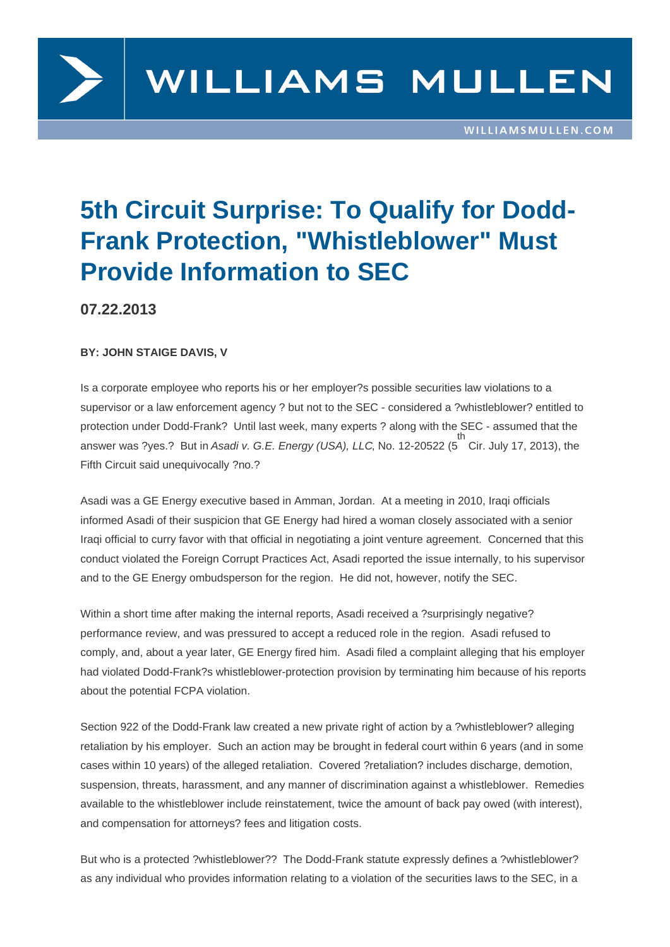

## **5th Circuit Surprise: To Qualify for Dodd-Frank Protection, "Whistleblower" Must Provide Information to SEC**

**07.22.2013**

**BY: JOHN STAIGE DAVIS, V**

Is a corporate employee who reports his or her employer?s possible securities law violations to a supervisor or a law enforcement agency ? but not to the SEC - considered a ?whistleblower? entitled to protection under Dodd-Frank? Until last week, many experts ? along with the SEC - assumed that the answer was ?yes.? But in Asadi v. G.E. Energy (USA), LLC, No. 12-20522 (5 th Cir. July 17, 2013), the Fifth Circuit said unequivocally ?no.?

Asadi was a GE Energy executive based in Amman, Jordan. At a meeting in 2010, Iraqi officials informed Asadi of their suspicion that GE Energy had hired a woman closely associated with a senior Iraqi official to curry favor with that official in negotiating a joint venture agreement. Concerned that this conduct violated the Foreign Corrupt Practices Act, Asadi reported the issue internally, to his supervisor and to the GE Energy ombudsperson for the region. He did not, however, notify the SEC.

Within a short time after making the internal reports, Asadi received a ?surprisingly negative? performance review, and was pressured to accept a reduced role in the region. Asadi refused to comply, and, about a year later, GE Energy fired him. Asadi filed a complaint alleging that his employer had violated Dodd-Frank?s whistleblower-protection provision by terminating him because of his reports about the potential FCPA violation.

Section 922 of the Dodd-Frank law created a new private right of action by a ?whistleblower? alleging retaliation by his employer. Such an action may be brought in federal court within 6 years (and in some cases within 10 years) of the alleged retaliation. Covered ?retaliation? includes discharge, demotion, suspension, threats, harassment, and any manner of discrimination against a whistleblower. Remedies available to the whistleblower include reinstatement, twice the amount of back pay owed (with interest), and compensation for attorneys? fees and litigation costs.

But who is a protected ?whistleblower?? The Dodd-Frank statute expressly defines a ?whistleblower? as any individual who provides information relating to a violation of the securities laws to the SEC, in a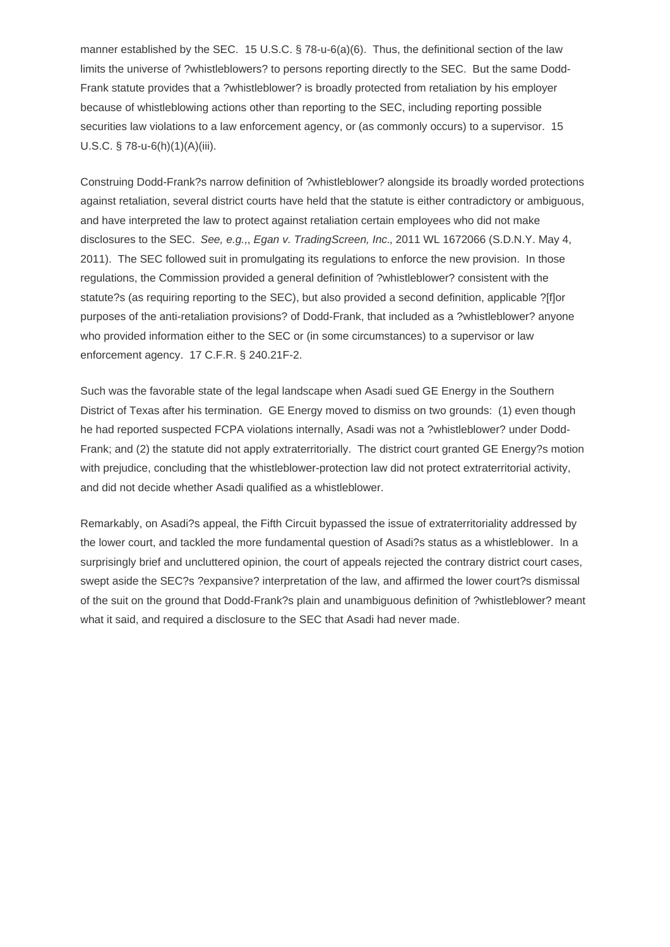manner established by the SEC. 15 U.S.C. § 78-u-6(a)(6). Thus, the definitional section of the law limits the universe of ?whistleblowers? to persons reporting directly to the SEC. But the same Dodd-Frank statute provides that a ?whistleblower? is broadly protected from retaliation by his employer because of whistleblowing actions other than reporting to the SEC, including reporting possible securities law violations to a law enforcement agency, or (as commonly occurs) to a supervisor. 15 U.S.C. § 78-u-6(h)(1)(A)(iii).

Construing Dodd-Frank?s narrow definition of ?whistleblower? alongside its broadly worded protections against retaliation, several district courts have held that the statute is either contradictory or ambiguous, and have interpreted the law to protect against retaliation certain employees who did not make disclosures to the SEC. See, e.g.,, Egan v. TradingScreen, Inc., 2011 WL 1672066 (S.D.N.Y. May 4, 2011). The SEC followed suit in promulgating its regulations to enforce the new provision. In those regulations, the Commission provided a general definition of ?whistleblower? consistent with the statute?s (as requiring reporting to the SEC), but also provided a second definition, applicable ?[f]or purposes of the anti-retaliation provisions? of Dodd-Frank, that included as a ?whistleblower? anyone who provided information either to the SEC or (in some circumstances) to a supervisor or law enforcement agency. 17 C.F.R. § 240.21F-2.

Such was the favorable state of the legal landscape when Asadi sued GE Energy in the Southern District of Texas after his termination. GE Energy moved to dismiss on two grounds: (1) even though he had reported suspected FCPA violations internally, Asadi was not a ?whistleblower? under Dodd-Frank; and (2) the statute did not apply extraterritorially. The district court granted GE Energy?s motion with prejudice, concluding that the whistleblower-protection law did not protect extraterritorial activity, and did not decide whether Asadi qualified as a whistleblower.

Remarkably, on Asadi?s appeal, the Fifth Circuit bypassed the issue of extraterritoriality addressed by the lower court, and tackled the more fundamental question of Asadi?s status as a whistleblower. In a surprisingly brief and uncluttered opinion, the court of appeals rejected the contrary district court cases, swept aside the SEC?s ?expansive? interpretation of the law, and affirmed the lower court?s dismissal of the suit on the ground that Dodd-Frank?s plain and unambiguous definition of ?whistleblower? meant what it said, and required a disclosure to the SEC that Asadi had never made.